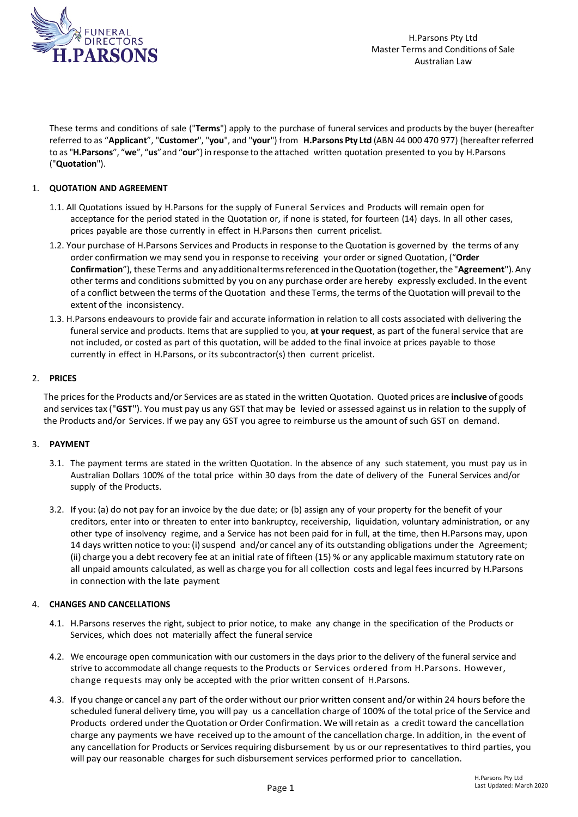

These terms and conditions of sale ("**Terms**") apply to the purchase of funeral services and products by the buyer (hereafter referred to as "**Applicant**", "**Customer**", "**you**", and "**your**") from **H.Parsons Pty Ltd** (ABN 44 000 470 977) (hereafterreferred to as "**H.Parsons**", "**we**", "**us**"and "**our**") in response to the attached written quotation presented to you by H.Parsons ("**Quotation**").

# 1. **QUOTATION AND AGREEMENT**

- 1.1. All Quotations issued by H.Parsons for the supply of Funeral Services and Products will remain open for acceptance for the period stated in the Quotation or, if none is stated, for fourteen (14) days. In all other cases, prices payable are those currently in effect in H.Parsons then current pricelist.
- 1.2. Your purchase of H.Parsons Services and Products in response to the Quotation is governed by the terms of any order confirmation we may send you in response to receiving your order orsigned Quotation, ("**Order Confirmation**"), these Terms and anyadditionaltermsreferencedintheQuotation(together,the"**Agreement**").Any other terms and conditions submitted by you on any purchase order are hereby expressly excluded. In the event of a conflict between the terms of the Quotation and these Terms, the terms of the Quotation will prevailto the extent of the inconsistency.
- 1.3. H.Parsons endeavours to provide fair and accurate information in relation to all costs associated with delivering the funeral service and products. Items that are supplied to you, **at your request**, as part of the funeral service that are not included, or costed as part of this quotation, will be added to the final invoice at prices payable to those currently in effect in H.Parsons, or its subcontractor(s) then current pricelist.

# 2. **PRICES**

The prices for the Products and/or Services are asstated in the written Quotation. Quoted prices are **inclusive** of goods and servicestax ("**GST**"). You must pay us any GST that may be levied or assessed against us in relation to the supply of the Products and/or Services. If we pay any GST you agree to reimburse us the amount of such GST on demand.

## 3. **PAYMENT**

- 3.1. The payment terms are stated in the written Quotation. In the absence of any such statement, you must pay us in Australian Dollars 100% of the total price within 30 days from the date of delivery of the Funeral Services and/or supply of the Products.
- 3.2. If you: (a) do not pay for an invoice by the due date; or (b) assign any of your property for the benefit of your creditors, enter into or threaten to enter into bankruptcy, receivership, liquidation, voluntary administration, or any other type of insolvency regime, and a Service has not been paid for in full, at the time, then H.Parsons may, upon 14 days written notice to you: (i) suspend and/or cancel any of its outstanding obligations under the Agreement; (ii) charge you a debt recovery fee at an initial rate of fifteen (15) % or any applicable maximum statutory rate on all unpaid amounts calculated, as well as charge you for all collection costs and legal fees incurred by H.Parsons in connection with the late payment

## 4. **CHANGES AND CANCELLATIONS**

- 4.1. H.Parsons reserves the right, subject to prior notice, to make any change in the specification of the Products or Services, which does not materially affect the funeral service
- 4.2. We encourage open communication with our customers in the days prior to the delivery of the funeral service and strive to accommodate all change requests to the Products or Services ordered from H.Parsons. However, change requests may only be accepted with the prior written consent of H.Parsons.
- 4.3. If you change or cancel any part of the order without our prior written consent and/or within 24 hours before the scheduled funeral delivery time, you will pay us a cancellation charge of 100% of the total price of the Service and Products ordered undertheQuotation or Order Confirmation. We willretain as a credit toward the cancellation charge any payments we have received up to the amount of the cancellation charge. In addition, in the event of any cancellation for Products or Services requiring disbursement by us or our representatives to third parties, you will pay our reasonable charges forsuch disbursementservices performed prior to cancellation.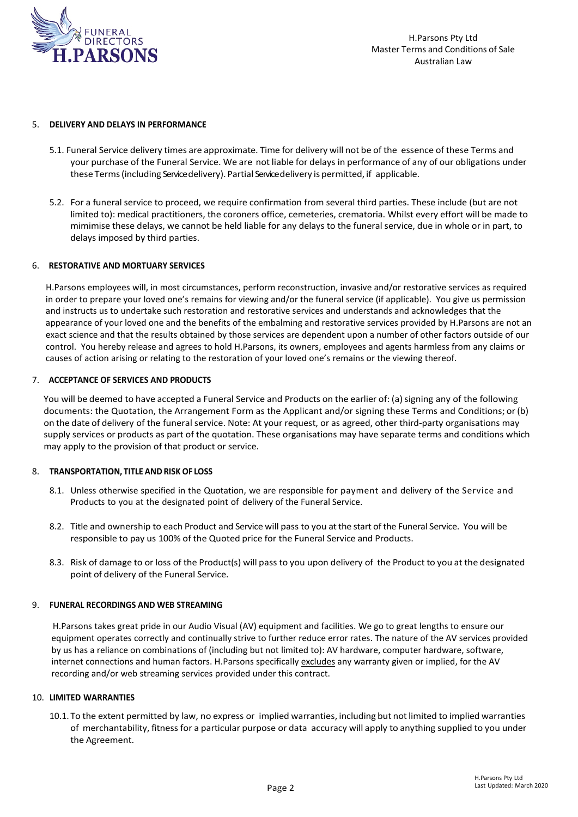

### 5. **DELIVERY AND DELAYS IN PERFORMANCE**

- 5.1. Funeral Service delivery times are approximate. Time for delivery will not be of the essence of these Terms and your purchase of the Funeral Service. We are not liable for delays in performance of any of our obligations under these Terms(including Service delivery). Partial Service delivery is permitted, if applicable.
- 5.2. For a funeral service to proceed, we require confirmation from several third parties. These include (but are not limited to): medical practitioners, the coroners office, cemeteries, crematoria. Whilst every effort will be made to mimimise these delays, we cannot be held liable for any delays to the funeral service, due in whole or in part, to delays imposed by third parties.

### 6. **RESTORATIVE AND MORTUARY SERVICES**

H.Parsons employees will, in most circumstances, perform reconstruction, invasive and/or restorative services as required in order to prepare your loved one's remains for viewing and/or the funeral service (if applicable). You give us permission and instructs us to undertake such restoration and restorative services and understands and acknowledges that the appearance of your loved one and the benefits of the embalming and restorative services provided by H.Parsons are not an exact science and that the results obtained by those services are dependent upon a number of other factors outside of our control. You hereby release and agrees to hold H.Parsons, its owners, employees and agents harmless from any claims or causes of action arising or relating to the restoration of your loved one's remains or the viewing thereof.

### 7. **ACCEPTANCE OF SERVICES AND PRODUCTS**

You will be deemed to have accepted a Funeral Service and Products on the earlier of: (a) signing any of the following documents: the Quotation, the Arrangement Form as the Applicant and/or signing these Terms and Conditions; or (b) on the date of delivery of the funeral service. Note: At your request, or as agreed, other third-party organisations may supply services or products as part of the quotation. These organisations may have separate terms and conditions which may apply to the provision of that product or service.

## 8. **TRANSPORTATION, TITLE AND RISK OF LOSS**

- 8.1. Unless otherwise specified in the Quotation, we are responsible for payment and delivery of the Service and Products to you at the designated point of delivery of the Funeral Service.
- 8.2. Title and ownership to each Product and Service will pass to you at the start of the Funeral Service. You will be responsible to pay us 100% of the Quoted price for the Funeral Service and Products.
- 8.3. Risk of damage to or loss of the Product(s) will pass to you upon delivery of the Product to you at the designated point of delivery of the Funeral Service.

## 9. **FUNERAL RECORDINGS AND WEB STREAMING**

H.Parsons takes great pride in our Audio Visual (AV) equipment and facilities. We go to great lengths to ensure our equipment operates correctly and continually strive to further reduce error rates. The nature of the AV services provided by us has a reliance on combinations of (including but not limited to): AV hardware, computer hardware, software, internet connections and human factors. H.Parsons specifically excludes any warranty given or implied, for the AV recording and/or web streaming services provided under this contract.

#### 10. **LIMITED WARRANTIES**

10.1. To the extent permitted by law, no express or implied warranties, including but notlimited to implied warranties of merchantability, fitness for a particular purpose or data accuracy will apply to anything supplied to you under the Agreement.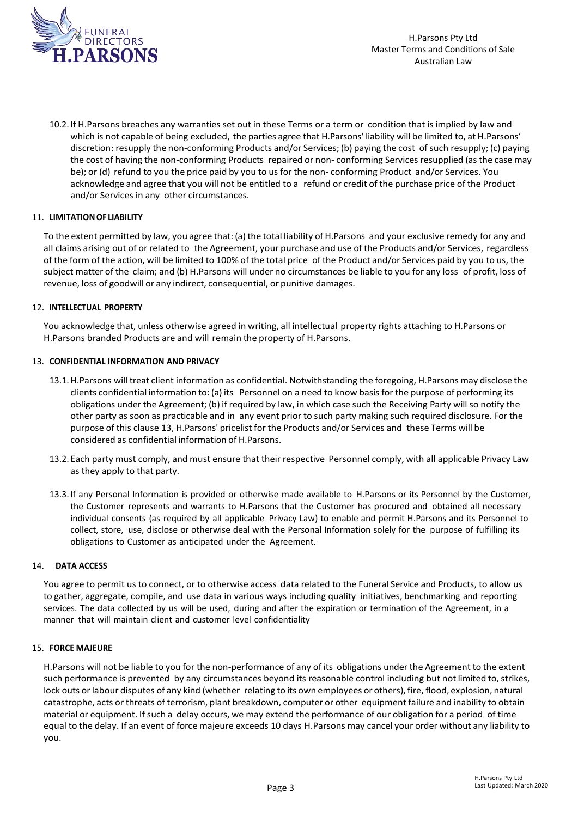

10.2. If H.Parsons breaches any warranties set out in these Terms or a term or condition that is implied by law and which is not capable of being excluded, the parties agree that H.Parsons' liability will be limited to, at H.Parsons' discretion: resupply the non-conforming Products and/or Services; (b) paying the cost of such resupply; (c) paying the cost of having the non-conforming Products repaired or non- conforming Services resupplied (as the case may be); or (d) refund to you the price paid by you to us for the non- conforming Product and/or Services. You acknowledge and agree that you will not be entitled to a refund or credit of the purchase price of the Product and/or Services in any other circumstances.

# 11. **LIMITATIONOF LIABILITY**

To the extent permitted by law, you agree that: (a) the total liability of H.Parsons and your exclusive remedy for any and all claims arising out of or related to the Agreement, your purchase and use of the Products and/or Services, regardless of the form of the action, will be limited to 100% of the total price of the Product and/or Services paid by you to us, the subject matter of the claim; and (b) H.Parsons will under no circumstances be liable to you for any loss of profit, loss of revenue, loss of goodwill or any indirect, consequential, or punitive damages.

## 12. **INTELLECTUAL PROPERTY**

You acknowledge that, unless otherwise agreed in writing, all intellectual property rights attaching to H.Parsons or H.Parsons branded Products are and will remain the property of H.Parsons.

## 13. **CONFIDENTIAL INFORMATION AND PRIVACY**

- 13.1.H.Parsons will treat client information as confidential. Notwithstanding the foregoing, H.Parsons may disclose the clients confidential information to: (a) its Personnel on a need to know basis for the purpose of performing its obligations under the Agreement; (b) if required by law, in which case such the Receiving Party will so notify the other party as soon as practicable and in any event prior to such party making such required disclosure. For the purpose of this clause 13, H.Parsons' pricelist for the Products and/or Services and these Terms will be considered as confidential information of H.Parsons.
- 13.2. Each party must comply, and must ensure that their respective Personnel comply, with all applicable Privacy Law as they apply to that party.
- 13.3. If any Personal Information is provided or otherwise made available to H.Parsons or its Personnel by the Customer, the Customer represents and warrants to H.Parsons that the Customer has procured and obtained all necessary individual consents (as required by all applicable Privacy Law) to enable and permit H.Parsons and its Personnel to collect, store, use, disclose or otherwise deal with the Personal Information solely for the purpose of fulfilling its obligations to Customer as anticipated under the Agreement.

## 14. **DATA ACCESS**

You agree to permit us to connect, or to otherwise access data related to the Funeral Service and Products, to allow us to gather, aggregate, compile, and use data in various ways including quality initiatives, benchmarking and reporting services. The data collected by us will be used, during and after the expiration or termination of the Agreement, in a manner that will maintain client and customer level confidentiality

## 15. **FORCE MAJEURE**

H.Parsons will not be liable to you for the non-performance of any of its obligations under the Agreement to the extent such performance is prevented by any circumstances beyond its reasonable control including but not limited to, strikes, lock outs orlabour disputes of any kind (whether relating to its own employees or others), fire, flood, explosion, natural catastrophe, acts or threats of terrorism, plant breakdown, computer or other equipment failure and inability to obtain material or equipment. Ifsuch a delay occurs, we may extend the performance of our obligation for a period of time equal to the delay. If an event of force majeure exceeds 10 days H.Parsons may cancel your order without any liability to you.